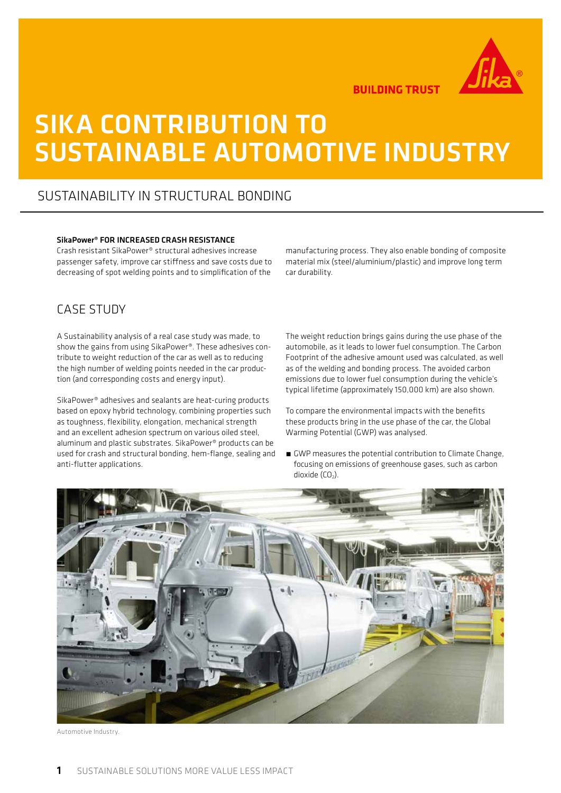

**BUILDING TRUST** 

# SIKA CONTRIBUTION TO SUSTAINABLE AUTOMOTIVE INDUSTRY

# SUSTAINABILITY IN STRUCTURAL BONDING

### SikaPower® FOR INCREASED CRASH RESISTANCE

Crash resistant SikaPower® structural adhesives increase passenger safety, improve car stiffness and save costs due to decreasing of spot welding points and to simplification of the

## CASE STUDY

A Sustainability analysis of a real case study was made, to show the gains from using SikaPower®. These adhesives contribute to weight reduction of the car as well as to reducing the high number of welding points needed in the car production (and corresponding costs and energy input).

SikaPower® adhesives and sealants are heat-curing products based on epoxy hybrid technology, combining properties such as toughness, flexibility, elongation, mechanical strength and an excellent adhesion spectrum on various oiled steel, aluminum and plastic substrates. SikaPower® products can be used for crash and structural bonding, hem-flange, sealing and anti-flutter applications.

manufacturing process. They also enable bonding of composite material mix (steel/aluminium/plastic) and improve long term car durability.

The weight reduction brings gains during the use phase of the automobile, as it leads to lower fuel consumption. The Carbon Footprint of the adhesive amount used was calculated, as well as of the welding and bonding process. The avoided carbon emissions due to lower fuel consumption during the vehicle's typical lifetime (approximately 150,000 km) are also shown.

To compare the environmental impacts with the benefits these products bring in the use phase of the car, the Global Warming Potential (GWP) was analysed.

■ GWP measures the potential contribution to Climate Change, focusing on emissions of greenhouse gases, such as carbon dioxide  $(CO<sub>2</sub>)$ .



Automotive Industry.